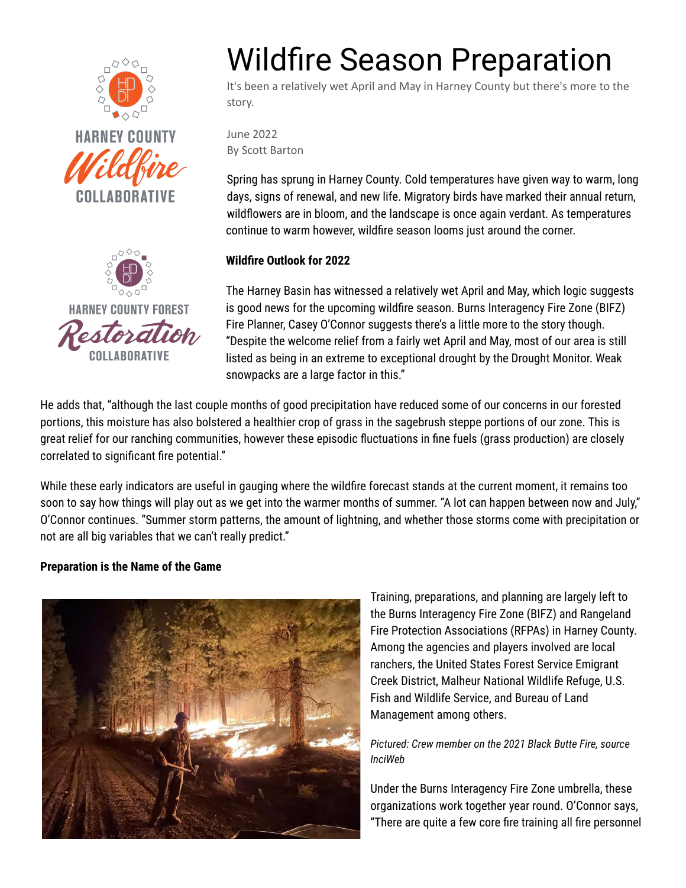





# Wildfire Season Preparation

It's been a relatively wet April and May in Harney County but there's more to the story.

June 2022 By Scott Barton

Spring has sprung in Harney County. Cold temperatures have given way to warm, long days, signs of renewal, and new life. Migratory birds have marked their annual return, wildflowers are in bloom, and the landscape is once again verdant. As temperatures continue to warm however, wildfire season looms just around the corner.

# **Wildfire Outlook for 2022**

The Harney Basin has witnessed a relatively wet April and May, which logic suggests is good news for the upcoming wildfire season. Burns Interagency Fire Zone (BIFZ) Fire Planner, Casey O'Connor suggests there's a little more to the story though. "Despite the welcome relief from a fairly wet April and May, most of our area is still listed as being in an extreme to exceptional drought by the Drought Monitor. Weak snowpacks are a large factor in this."

He adds that, "although the last couple months of good precipitation have reduced some of our concerns in our forested portions, this moisture has also bolstered a healthier crop of grass in the sagebrush steppe portions of our zone. This is great relief for our ranching communities, however these episodic fluctuations in fine fuels (grass production) are closely correlated to significant fire potential."

While these early indicators are useful in gauging where the wildfire forecast stands at the current moment, it remains too soon to say how things will play out as we get into the warmer months of summer. "A lot can happen between now and July," O'Connor continues. "Summer storm patterns, the amount of lightning, and whether those storms come with precipitation or not are all big variables that we can't really predict."

# **Preparation is the Name of the Game**



Training, preparations, and planning are largely left to the Burns Interagency Fire Zone (BIFZ) and Rangeland Fire Protection Associations (RFPAs) in Harney County. Among the agencies and players involved are local ranchers, the United States Forest Service Emigrant Creek District, Malheur National Wildlife Refuge, U.S. Fish and Wildlife Service, and Bureau of Land Management among others.

*Pictured: Crew member on the 2021 Black Butte Fire, source InciWeb*

Under the Burns Interagency Fire Zone umbrella, these organizations work together year round. O'Connor says, "There are quite a few core fire training all fire personnel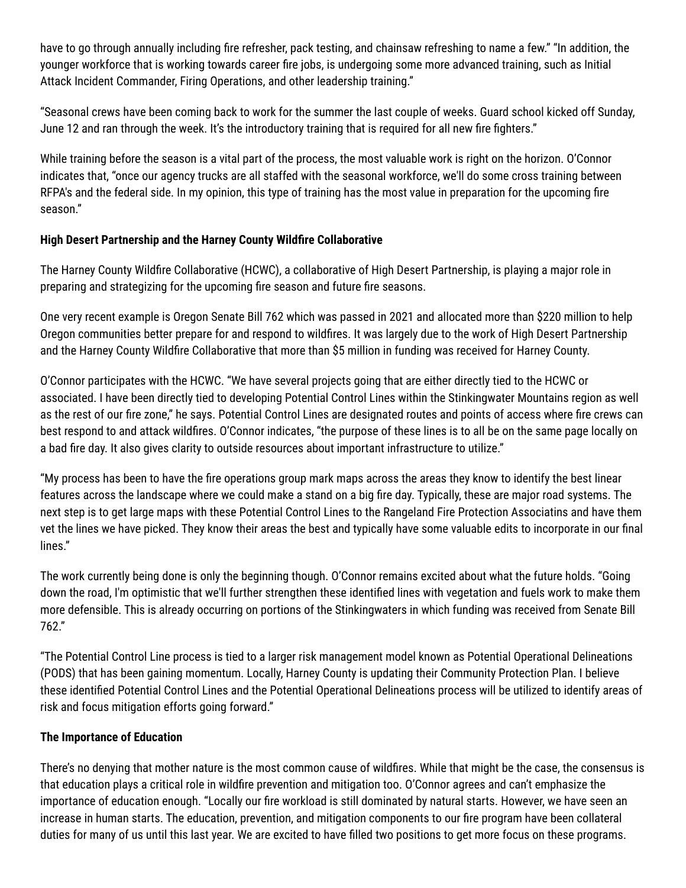have to go through annually including fire refresher, pack testing, and chainsaw refreshing to name a few." "In addition, the younger workforce that is working towards career fire jobs, is undergoing some more advanced training, such as Initial Attack Incident Commander, Firing Operations, and other leadership training."

"Seasonal crews have been coming back to work for the summer the last couple of weeks. Guard school kicked off Sunday, June 12 and ran through the week. It's the introductory training that is required for all new fire fighters."

While training before the season is a vital part of the process, the most valuable work is right on the horizon. O'Connor indicates that, "once our agency trucks are all staffed with the seasonal workforce, we'll do some cross training between RFPA's and the federal side. In my opinion, this type of training has the most value in preparation for the upcoming fire season."

### **High Desert Partnership and the Harney County Wildfire Collaborative**

The Harney County Wildfire Collaborative (HCWC), a collaborative of High Desert Partnership, is playing a major role in preparing and strategizing for the upcoming fire season and future fire seasons.

One very recent example is Oregon Senate Bill 762 which was passed in 2021 and allocated more than \$220 million to help Oregon communities better prepare for and respond to wildfires. It was largely due to the work of High Desert Partnership and the Harney County Wildfire Collaborative that more than \$5 million in funding was received for Harney County.

O'Connor participates with the HCWC. "We have several projects going that are either directly tied to the HCWC or associated. I have been directly tied to developing Potential Control Lines within the Stinkingwater Mountains region as well as the rest of our fire zone," he says. Potential Control Lines are designated routes and points of access where fire crews can best respond to and attack wildfires. O'Connor indicates, "the purpose of these lines is to all be on the same page locally on a bad fire day. It also gives clarity to outside resources about important infrastructure to utilize."

"My process has been to have the fire operations group mark maps across the areas they know to identify the best linear features across the landscape where we could make a stand on a big fire day. Typically, these are major road systems. The next step is to get large maps with these Potential Control Lines to the Rangeland Fire Protection Associatins and have them vet the lines we have picked. They know their areas the best and typically have some valuable edits to incorporate in our final lines."

The work currently being done is only the beginning though. O'Connor remains excited about what the future holds. "Going down the road, I'm optimistic that we'll further strengthen these identified lines with vegetation and fuels work to make them more defensible. This is already occurring on portions of the Stinkingwaters in which funding was received from Senate Bill 762."

"The Potential Control Line process is tied to a larger risk management model known as Potential Operational Delineations (PODS) that has been gaining momentum. Locally, Harney County is updating their Community Protection Plan. I believe these identified Potential Control Lines and the Potential Operational Delineations process will be utilized to identify areas of risk and focus mitigation efforts going forward."

# **The Importance of Education**

There's no denying that mother nature is the most common cause of wildfires. While that might be the case, the consensus is that education plays a critical role in wildfire prevention and mitigation too. O'Connor agrees and can't emphasize the importance of education enough. "Locally our fire workload is still dominated by natural starts. However, we have seen an increase in human starts. The education, prevention, and mitigation components to our fire program have been collateral duties for many of us until this last year. We are excited to have filled two positions to get more focus on these programs.